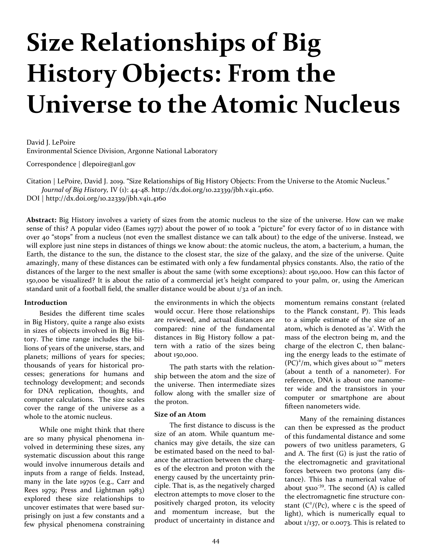# **Size Relationships of Big History Objects: From the Universe to the Atomic Nucleus**

David J. LePoire Environmental Science Division, Argonne National Laboratory

Correspondence | dlepoire@anl.gov

Citation | LePoire, David J. 2019. "Size Relationships of Big History Objects: From the Universe to the Atomic Nucleus." *Journal of Big History,* IV (1): 44-48. http://dx.doi.org/10.22339/jbh.v4i1.4160.

DOI | http://dx.doi.org/10.22339/jbh.v4i1.4160

**Abstract:** Big History involves a variety of sizes from the atomic nucleus to the size of the universe. How can we make sense of this? A popular video (Eames 1977) about the power of 10 took a "picture" for every factor of 10 in distance with over 40 "stops" from a nucleus (not even the smallest distance we can talk about) to the edge of the universe. Instead, we will explore just nine steps in distances of things we know about: the atomic nucleus, the atom, a bacterium, a human, the Earth, the distance to the sun, the distance to the closest star, the size of the galaxy, and the size of the universe. Quite amazingly, many of these distances can be estimated with only a few fundamental physics constants. Also, the ratio of the distances of the larger to the next smaller is about the same (with some exceptions): about 150,000. How can this factor of 150,000 be visualized? It is about the ratio of a commercial jet's height compared to your palm, or, using the American standard unit of a football field, the smaller distance would be about  $1/32$  of an inch.

#### **Introduction**

Besides the different time scales in Big History, quite a range also exists in sizes of objects involved in Big History. The time range includes the billions of years of the universe, stars, and planets; millions of years for species; thousands of years for historical processes; generations for humans and technology development; and seconds for DNA replication, thoughts, and computer calculations. The size scales cover the range of the universe as a whole to the atomic nucleus.

While one might think that there are so many physical phenomena involved in determining these sizes, any systematic discussion about this range would involve innumerous details and inputs from a range of fields. Instead, many in the late 1970s (e.g., Carr and Rees 1979; Press and Lightman 1983) explored these size relationships to uncover estimates that were based surprisingly on just a few constants and a few physical phenomena constraining

the environments in which the objects would occur. Here those relationships are reviewed, and actual distances are compared: nine of the fundamental distances in Big History follow a pattern with a ratio of the sizes being about 150,000.

The path starts with the relationship between the atom and the size of the universe. Then intermediate sizes follow along with the smaller size of the proton.

#### **Size of an Atom**

The first distance to discuss is the size of an atom. While quantum mechanics may give details, the size can be estimated based on the need to balance the attraction between the charges of the electron and proton with the energy caused by the uncertainty principle. That is, as the negatively charged electron attempts to move closer to the positively charged proton, its velocity and momentum increase, but the product of uncertainty in distance and

momentum remains constant (related to the Planck constant, P). This leads to a simple estimate of the size of an atom, which is denoted as 'a'. With the mass of the electron being m, and the charge of the electron C, then balancing the energy leads to the estimate of  $(PC)^2/m$ , which gives about 10<sup>-10</sup> meters (about a tenth of a nanometer). For reference, DNA is about one nanometer wide and the transistors in your computer or smartphone are about fifteen nanometers wide.

Many of the remaining distances can then be expressed as the product of this fundamental distance and some powers of two unitless parameters, G and A. The first  $(G)$  is just the ratio of the electromagnetic and gravitational forces between two protons (any distance). This has a numerical value of about  $5x10^{-39}$ . The second (A) is called the electromagnetic fine structure constant  $(C<sup>2</sup>/(Pc)$ , where c is the speed of light), which is numerically equal to about  $1/137$ , or 0.0073. This is related to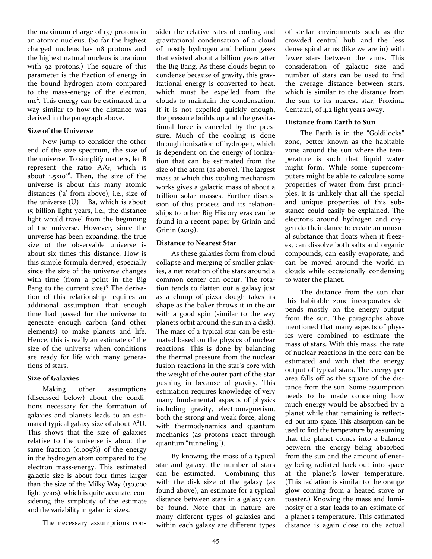the maximum charge of 137 protons in an atomic nucleus. (So far the highest charged nucleus has 118 protons and the highest natural nucleus is uranium with 92 protons.) The square of this parameter is the fraction of energy in the bound hydrogen atom compared to the mass-energy of the electron, mc<sup>2</sup>. This energy can be estimated in a way similar to how the distance was derived in the paragraph above.

### **Size of the Universe**

Now jump to consider the other end of the size spectrum, the size of the universe. To simplify matters, let B represent the ratio A/G, which is about  $1.5x10^{36}$ . Then, the size of the universe is about this many atomic distances ('a' from above), i.e., size of the universe  $(U)$  = Ba, which is about 15 billion light years, i.e., the distance light would travel from the beginning of the universe. However, since the universe has been expanding, the true size of the observable universe is about six times this distance. How is this simple formula derived, especially since the size of the universe changes with time (from a point in the Big Bang to the current size)? The derivation of this relationship requires an additional assumption that enough time had passed for the universe to generate enough carbon (and other elements) to make planets and life. Hence, this is really an estimate of the size of the universe when conditions are ready for life with many generations of stars.

## **Size of Galaxies**

Making other assumptions (discussed below) about the conditions necessary for the formation of galaxies and planets leads to an estimated typical galaxy size of about  $A^2U$ . This shows that the size of galaxies relative to the universe is about the same fraction (0.005%) of the energy in the hydrogen atom compared to the electron mass-energy. This estimated galactic size is about four times larger than the size of the Milky Way (150,000 light-years), which is quite accurate, considering the simplicity of the estimate and the variability in galactic sizes.

The necessary assumptions con-

sider the relative rates of cooling and gravitational condensation of a cloud of mostly hydrogen and helium gases that existed about a billion years after the Big Bang. As these clouds begin to condense because of gravity, this gravitational energy is converted to heat, which must be expelled from the clouds to maintain the condensation. If it is not expelled quickly enough, the pressure builds up and the gravitational force is canceled by the pressure. Much of the cooling is done through ionization of hydrogen, which is dependent on the energy of ionization that can be estimated from the size of the atom (as above). The largest mass at which this cooling mechanism works gives a galactic mass of about a trillion solar masses. Further discussion of this process and its relationships to other Big History eras can be found in a recent paper by Grinin and Grinin (2019).

# **Distance to Nearest Star**

As these galaxies form from cloud collapse and merging of smaller galaxies, a net rotation of the stars around a common center can occur. The rotation tends to flatten out a galaxy just as a clump of pizza dough takes its shape as the baker throws it in the air with a good spin (similar to the way planets orbit around the sun in a disk). The mass of a typical star can be estimated based on the physics of nuclear reactions. This is done by balancing the thermal pressure from the nuclear fusion reactions in the star's core with the weight of the outer part of the star pushing in because of gravity. This estimation requires knowledge of very many fundamental aspects of physics including gravity, electromagnetism, both the strong and weak force, along with thermodynamics and quantum mechanics (as protons react through quantum "tunneling").

By knowing the mass of a typical star and galaxy, the number of stars can be estimated. Combining this with the disk size of the galaxy (as found above), an estimate for a typical distance between stars in a galaxy can be found. Note that in nature are many different types of galaxies and within each galaxy are different types of stellar environments such as the crowded central hub and the less dense spiral arms (like we are in) with fewer stars between the arms. This consideration of galactic size and number of stars can be used to find the average distance between stars, which is similar to the distance from the sun to its nearest star, Proxima Centauri, of 4.2 light years away.

# **Distance from Earth to Sun**

The Earth is in the "Goldilocks" zone, better known as the habitable zone around the sun where the temperature is such that liquid water might form. While some supercomputers might be able to calculate some properties of water from first principles, it is unlikely that all the special and unique properties of this substance could easily be explained. The electrons around hydrogen and oxygen do their dance to create an unusual substance that floats when it freezes, can dissolve both salts and organic compounds, can easily evaporate, and can be moved around the world in clouds while occasionally condensing to water the planet.

The distance from the sun that this habitable zone incorporates depends mostly on the energy output from the sun. The paragraphs above mentioned that many aspects of physics were combined to estimate the mass of stars. With this mass, the rate of nuclear reactions in the core can be estimated and with that the energy output of typical stars. The energy per area falls off as the square of the distance from the sun. Some assumption needs to be made concerning how much energy would be absorbed by a planet while that remaining is reflected out into space. This absorption can be used to find the temperature by assuming that the planet comes into a balance between the energy being absorbed from the sun and the amount of energy being radiated back out into space at the planet's lower temperature. (This radiation is similar to the orange glow coming from a heated stove or toaster.) Knowing the mass and luminosity of a star leads to an estimate of a planet's temperature. This estimated distance is again close to the actual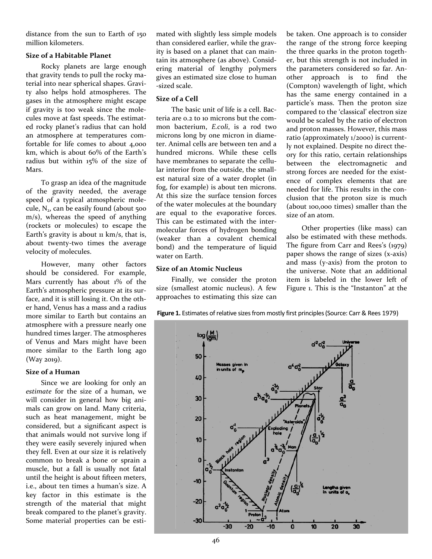distance from the sun to Earth of 150 million kilometers.

## **Size of a Habitable Planet**

Rocky planets are large enough that gravity tends to pull the rocky material into near spherical shapes. Gravity also helps hold atmospheres. The gases in the atmosphere might escape if gravity is too weak since the molecules move at fast speeds. The estimated rocky planet's radius that can hold an atmosphere at temperatures comfortable for life comes to about 4,000 km, which is about 60% of the Earth's radius but within 15% of the size of Mars.

To grasp an idea of the magnitude of the gravity needed, the average speed of a typical atmospheric molecule,  $N<sub>2</sub>$ , can be easily found (about 500 m/s), whereas the speed of anything (rockets or molecules) to escape the Earth's gravity is about  $\mu$  km/s, that is, about twenty-two times the average velocity of molecules.

However, many other factors should be considered. For example, Mars currently has about 1% of the Earth's atmospheric pressure at its surface, and it is still losing it. On the other hand, Venus has a mass and a radius more similar to Earth but contains an atmosphere with a pressure nearly one hundred times larger. The atmospheres of Venus and Mars might have been more similar to the Earth long ago (Way 2019).

## **Size of a Human**

Since we are looking for only an *estimate* for the size of a human, we will consider in general how big animals can grow on land. Many criteria, such as heat management, might be considered, but a significant aspect is that animals would not survive long if they were easily severely injured when they fell. Even at our size it is relatively common to break a bone or sprain a muscle, but a fall is usually not fatal until the height is about fifteen meters, i.e., about ten times a human's size. A key factor in this estimate is the strength of the material that might break compared to the planet's gravity. Some material properties can be estimated with slightly less simple models than considered earlier, while the gravity is based on a planet that can maintain its atmosphere (as above). Considering material of lengthy polymers gives an estimated size close to human -sized scale.

# **Size of a Cell**

The basic unit of life is a cell. Bacteria are 0.2 to 10 microns but the common bacterium, *E.coli*, is a rod two microns long by one micron in diameter. Animal cells are between ten and a hundred microns. While these cells have membranes to separate the cellular interior from the outside, the smallest natural size of a water droplet (in fog, for example) is about ten microns. At this size the surface tension forces of the water molecules at the boundary are equal to the evaporative forces. This can be estimated with the intermolecular forces of hydrogen bonding (weaker than a covalent chemical bond) and the temperature of liquid water on Earth.

## **Size of an Atomic Nucleus**

Finally, we consider the proton size (smallest atomic nucleus). A few approaches to estimating this size can be taken. One approach is to consider the range of the strong force keeping the three quarks in the proton together, but this strength is not included in the parameters considered so far. Another approach is to find the (Compton) wavelength of light, which has the same energy contained in a particle's mass. Then the proton size compared to the 'classical' electron size would be scaled by the ratio of electron and proton masses. However, this mass ratio (approximately 1/2000) is currently not explained. Despite no direct theory for this ratio, certain relationships between the electromagnetic and strong forces are needed for the existence of complex elements that are needed for life. This results in the conclusion that the proton size is much (about 100,000 times) smaller than the size of an atom.

Other properties (like mass) can also be estimated with these methods. The figure from Carr and Rees's (1979) paper shows the range of sizes (x-axis) and mass (y-axis) from the proton to the universe. Note that an additional item is labeled in the lower left of Figure 1. This is the "Instanton" at the



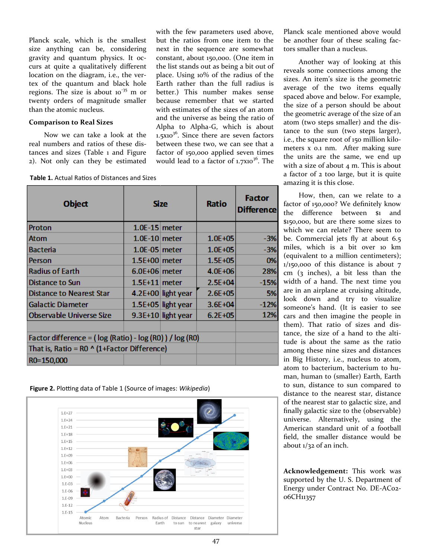Planck scale, which is the smallest size anything can be, considering gravity and quantum physics. It occurs at quite a qualitatively different location on the diagram, i.e., the vertex of the quantum and black hole regions. The size is about  $10^{-35}$  m or twenty orders of magnitude smaller than the atomic nucleus.

#### **Comparison to Real Sizes**

Now we can take a look at the real numbers and ratios of these distances and sizes (Table 1 and Figure 2). Not only can they be estimated with the few parameters used above, but the ratios from one item to the next in the sequence are somewhat constant, about 150,000. (One item in the list stands out as being a bit out of place. Using 10% of the radius of the Earth rather than the full radius is better.) This number makes sense because remember that we started with estimates of the sizes of an atom and the universe as being the ratio of Alpha to Alpha-G, which is about  $1.5x10^{36}$ . Since there are seven factors between these two, we can see that a factor of 150,000 applied seven times would lead to a factor of  $1.7x10^{36}$ . The

**Table 1.** Actual Ratios of Distances and Sizes

| <b>Object</b>                                                | <b>Size</b>     |                      | <b>Ratio</b> | <b>Factor</b><br><b>Difference</b> |
|--------------------------------------------------------------|-----------------|----------------------|--------------|------------------------------------|
| Proton                                                       | $1.0E-15$ meter |                      |              |                                    |
| Atom                                                         | $1.0E-10$ meter |                      | $1.0E + 05$  | $-3%$                              |
| <b>Bacteria</b>                                              | $1.0E-05$ meter |                      | $1.0E + 0.5$ | $-3%$                              |
| Person                                                       | $1.5E+00$ meter |                      | $1.5E + 0.5$ | 0%                                 |
| <b>Radius of Earth</b>                                       | $6.0E+06$ meter |                      | $4.0E + 06$  | 28%                                |
| Distance to Sun                                              | $1.5E+11$ meter |                      | $2.5E + 04$  | $-15%$                             |
| <b>Distance to Nearest Star</b>                              |                 | $4.2E+00$ light year | $2.6E + 0.5$ | 5%                                 |
| <b>Galactic Diameter</b>                                     |                 | 1.5E+05 light year   | $3.6E + 04$  | $-12%$                             |
| Observable Universe Size                                     |                 | 9.3E+10 light year   | $6.2E + 05$  | <b>12%</b>                         |
|                                                              |                 |                      |              |                                    |
| Factor difference = $(\log (Ratio) - \log (RO)) / \log (RO)$ |                 |                      |              |                                    |
| That is, Ratio = $RO \wedge (1 + Factor$ Difference)         |                 |                      |              |                                    |
| R0=150,000                                                   |                 |                      |              |                                    |

**Figure 2.** Plotting data of Table 1 (Source of images: *Wikipedia*)



Planck scale mentioned above would be another four of these scaling factors smaller than a nucleus.

Another way of looking at this reveals some connections among the sizes. An item's size is the geometric average of the two items equally spaced above and below. For example, the size of a person should be about the geometric average of the size of an atom (two steps smaller) and the distance to the sun (two steps larger), i.e., the square root of 150 million kilometers x 0.1 nm. After making sure the units are the same, we end up with a size of about  $4$  m. This is about a factor of 2 too large, but it is quite amazing it is this close.

How, then, can we relate to a factor of 150,000? We definitely know the difference between \$1 and \$150,000, but are there some sizes to which we can relate? There seem to be. Commercial jets fly at about 6.5 miles, which is a bit over 10 km (equivalent to a million centimeters);  $1/150,000$  of this distance is about 7 cm (3 inches), a bit less than the width of a hand. The next time you are in an airplane at cruising altitude, look down and try to visualize someone's hand. (It is easier to see cars and then imagine the people in them). That ratio of sizes and distance, the size of a hand to the altitude is about the same as the ratio among these nine sizes and distances in Big History, i.e., nucleus to atom, atom to bacterium, bacterium to human, human to (smaller) Earth, Earth to sun, distance to sun compared to distance to the nearest star, distance of the nearest star to galactic size, and finally galactic size to the (observable) universe. Alternatively, using the American standard unit of a football field, the smaller distance would be about  $1/32$  of an inch.

**Acknowledgement:** This work was supported by the U. S. Department of Energy under Contract No. DE-AC02- 06CH11357